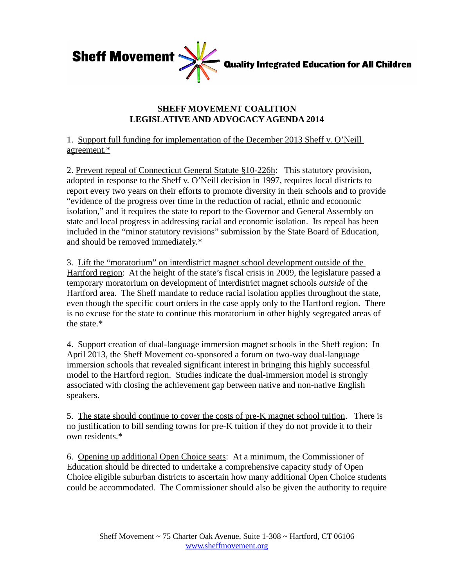

## **SHEFF MOVEMENT COALITION LEGISLATIVE AND ADVOCACY AGENDA 2014**

1. Support full funding for implementation of the December 2013 Sheff v. O'Neill agreement.\*

2. Prevent repeal of Connecticut General Statute §10-226h: This statutory provision, adopted in response to the Sheff v. O'Neill decision in 1997, requires local districts to report every two years on their efforts to promote diversity in their schools and to provide "evidence of the progress over time in the reduction of racial, ethnic and economic isolation," and it requires the state to report to the Governor and General Assembly on state and local progress in addressing racial and economic isolation. Its repeal has been included in the "minor statutory revisions" submission by the State Board of Education, and should be removed immediately.\*

3. Lift the "moratorium" on interdistrict magnet school development outside of the Hartford region: At the height of the state's fiscal crisis in 2009, the legislature passed a temporary moratorium on development of interdistrict magnet schools *outside* of the Hartford area. The Sheff mandate to reduce racial isolation applies throughout the state, even though the specific court orders in the case apply only to the Hartford region. There is no excuse for the state to continue this moratorium in other highly segregated areas of the state.\*

4. Support creation of dual-language immersion magnet schools in the Sheff region: In April 2013, the Sheff Movement co-sponsored a forum on two-way dual-language immersion schools that revealed significant interest in bringing this highly successful model to the Hartford region. Studies indicate the dual-immersion model is strongly associated with closing the achievement gap between native and non-native English speakers.

5. The state should continue to cover the costs of pre-K magnet school tuition. There is no justification to bill sending towns for pre-K tuition if they do not provide it to their own residents.\*

6. Opening up additional Open Choice seats: At a minimum, the Commissioner of Education should be directed to undertake a comprehensive capacity study of Open Choice eligible suburban districts to ascertain how many additional Open Choice students could be accommodated. The Commissioner should also be given the authority to require